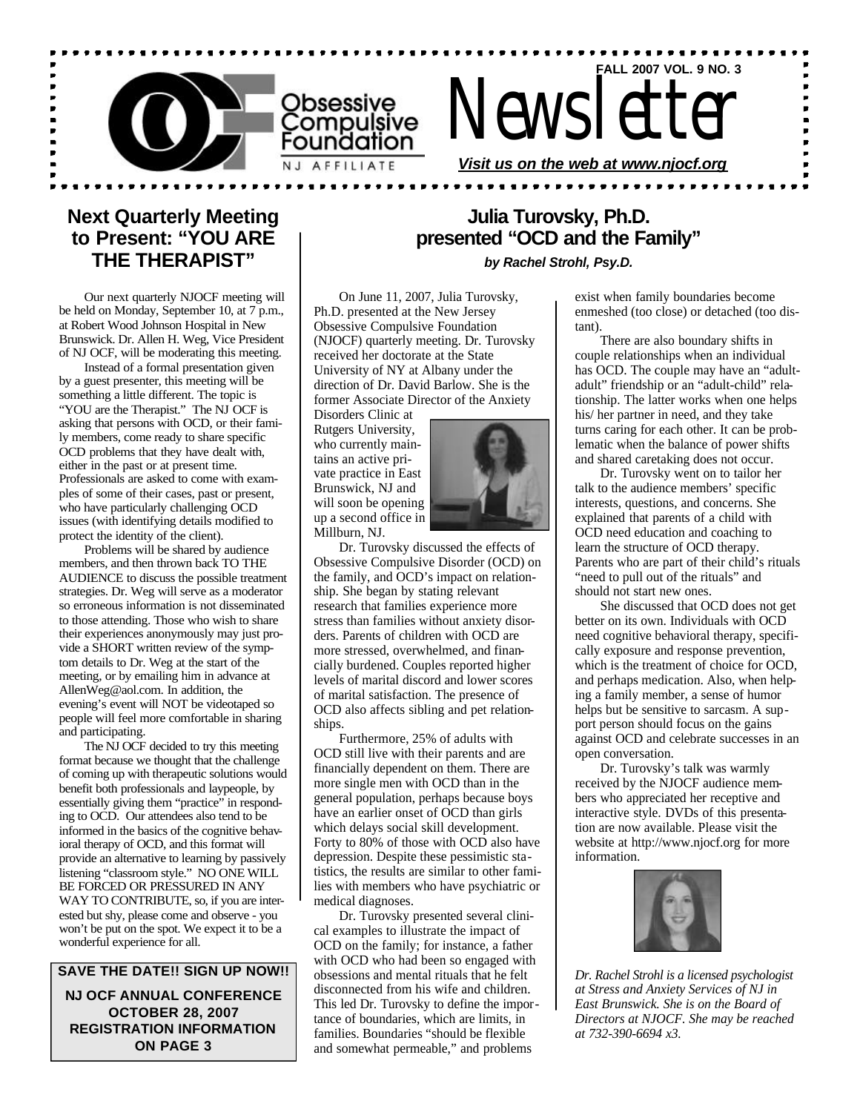

# Newsletter

*Visit us on the web at www.njocf.org*

## **Next Quarterly Meeting to Present: "YOU ARE THE THERAPIST"**

Our next quarterly NJOCF meeting will be held on Monday, September 10, at 7 p.m., at Robert Wood Johnson Hospital in New Brunswick. Dr. Allen H. Weg, Vice President of NJ OCF, will be moderating this meeting.

Instead of a formal presentation given by a guest presenter, this meeting will be something a little different. The topic is "YOU are the Therapist." The NJ OCF is asking that persons with OCD, or their family members, come ready to share specific OCD problems that they have dealt with, either in the past or at present time. Professionals are asked to come with examples of some of their cases, past or present, who have particularly challenging OCD issues (with identifying details modified to protect the identity of the client).

Problems will be shared by audience members, and then thrown back TO THE AUDIENCE to discuss the possible treatment strategies. Dr. Weg will serve as a moderator so erroneous information is not disseminated to those attending. Those who wish to share their experiences anonymously may just provide a SHORT written review of the symptom details to Dr. Weg at the start of the meeting, or by emailing him in advance at AllenWeg@aol.com. In addition, the evening's event will NOT be videotaped so people will feel more comfortable in sharing and participating.

The NJ OCF decided to try this meeting format because we thought that the challenge of coming up with therapeutic solutions would benefit both professionals and laypeople, by essentially giving them "practice" in responding to OCD. Our attendees also tend to be informed in the basics of the cognitive behavioral therapy of OCD, and this format will provide an alternative to learning by passively listening "classroom style." NO ONE WILL BE FORCED OR PRESSURED IN ANY WAY TO CONTRIBUTE, so, if you are interested but shy, please come and observe - you won't be put on the spot. We expect it to be a wonderful experience for all.

## **SAVE THE DATE!! SIGN UP NOW!!**

**NJ OCF ANNUAL CONFERENCE OCTOBER 28, 2007 REGISTRATION INFORMATION ON PAGE 3**

# **Julia Turovsky, Ph.D. presented "OCD and the Family"**

*by Rachel Strohl, Psy.D.*

On June 11, 2007, Julia Turovsky, Ph.D. presented at the New Jersey Obsessive Compulsive Foundation (NJOCF) quarterly meeting. Dr. Turovsky received her doctorate at the State University of NY at Albany under the direction of Dr. David Barlow. She is the former Associate Director of the Anxiety

Disorders Clinic at Rutgers University, who currently maintains an active private practice in East Brunswick, NJ and will soon be opening up a second office in Millburn, NJ.



Dr. Turovsky discussed the effects of Obsessive Compulsive Disorder (OCD) on the family, and OCD's impact on relationship. She began by stating relevant research that families experience more stress than families without anxiety disorders. Parents of children with OCD are more stressed, overwhelmed, and financially burdened. Couples reported higher levels of marital discord and lower scores of marital satisfaction. The presence of OCD also affects sibling and pet relationships.

Furthermore, 25% of adults with OCD still live with their parents and are financially dependent on them. There are more single men with OCD than in the general population, perhaps because boys have an earlier onset of OCD than girls which delays social skill development. Forty to 80% of those with OCD also have depression. Despite these pessimistic statistics, the results are similar to other families with members who have psychiatric or medical diagnoses.

Dr. Turovsky presented several clinical examples to illustrate the impact of OCD on the family; for instance, a father with OCD who had been so engaged with obsessions and mental rituals that he felt disconnected from his wife and children. This led Dr. Turovsky to define the importance of boundaries, which are limits, in families. Boundaries "should be flexible and somewhat permeable," and problems

exist when family boundaries become enmeshed (too close) or detached (too distant).

**FALL 2007 VOL. 9 NO. 3**

There are also boundary shifts in couple relationships when an individual has OCD. The couple may have an "adultadult" friendship or an "adult-child" relationship. The latter works when one helps his/ her partner in need, and they take turns caring for each other. It can be problematic when the balance of power shifts and shared caretaking does not occur.

Dr. Turovsky went on to tailor her talk to the audience members' specific interests, questions, and concerns. She explained that parents of a child with OCD need education and coaching to learn the structure of OCD therapy. Parents who are part of their child's rituals "need to pull out of the rituals" and should not start new ones.

She discussed that OCD does not get better on its own. Individuals with OCD need cognitive behavioral therapy, specifically exposure and response prevention, which is the treatment of choice for OCD, and perhaps medication. Also, when helping a family member, a sense of humor helps but be sensitive to sarcasm. A support person should focus on the gains against OCD and celebrate successes in an open conversation.

Dr. Turovsky's talk was warmly received by the NJOCF audience members who appreciated her receptive and interactive style. DVDs of this presentation are now available. Please visit the website at http://www.njocf.org for more information.



*Dr. Rachel Strohl is a licensed psychologist at Stress and Anxiety Services of NJ in East Brunswick. She is on the Board of Directors at NJOCF. She may be reached at 732-390-6694 x3.*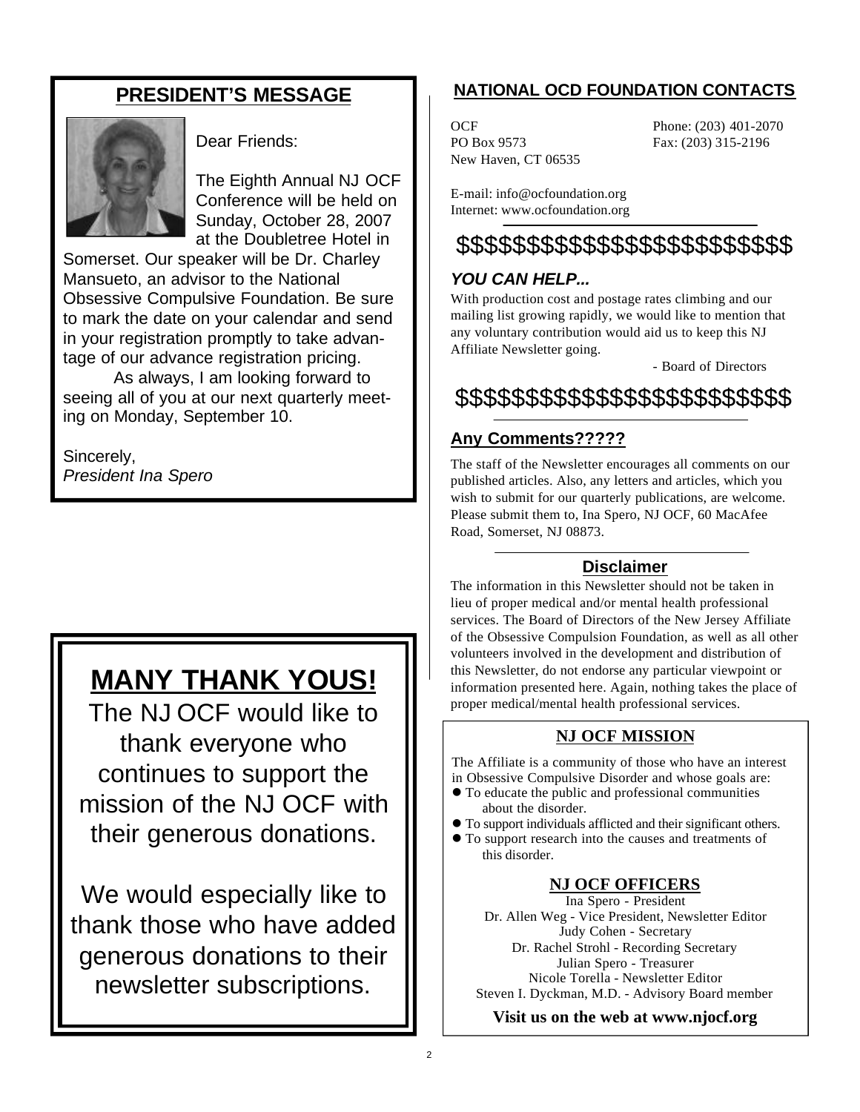# **PRESIDENT'S MESSAGE**



Dear Friends:

The Eighth Annual NJ OCF Conference will be held on Sunday, October 28, 2007 at the Doubletree Hotel in

Somerset. Our speaker will be Dr. Charley Mansueto, an advisor to the National Obsessive Compulsive Foundation. Be sure to mark the date on your calendar and send in your registration promptly to take advantage of our advance registration pricing.

As always, I am looking forward to seeing all of you at our next quarterly meeting on Monday, September 10.

Sincerely, *President Ina Spero*

# **MANY THANK YOUS!**

The NJ OCF would like to thank everyone who continues to support the mission of the NJ OCF with their generous donations.

We would especially like to thank those who have added generous donations to their newsletter subscriptions.

# **NATIONAL OCD FOUNDATION CONTACTS**

PO Box 9573 Fax: (203) 315-2196 New Haven, CT 06535

OCF Phone: (203) 401-2070

E-mail: info@ocfoundation.org Internet: www.ocfoundation.org

# \$\$\$\$\$\$\$\$\$\$\$\$\$\$\$\$\$\$\$\$\$\$\$\$

# *YOU CAN HELP...*

With production cost and postage rates climbing and our mailing list growing rapidly, we would like to mention that any voluntary contribution would aid us to keep this NJ Affiliate Newsletter going.

- Board of Directors

# \$\$\$\$\$\$\$\$\$\$\$\$\$\$\$\$\$\$\$\$\$\$\$\$

# **Any Comments?????**

The staff of the Newsletter encourages all comments on our published articles. Also, any letters and articles, which you wish to submit for our quarterly publications, are welcome. Please submit them to, Ina Spero, NJ OCF, 60 MacAfee Road, Somerset, NJ 08873.

## **Disclaimer**

The information in this Newsletter should not be taken in lieu of proper medical and/or mental health professional services. The Board of Directors of the New Jersey Affiliate of the Obsessive Compulsion Foundation, as well as all other volunteers involved in the development and distribution of this Newsletter, do not endorse any particular viewpoint or information presented here. Again, nothing takes the place of proper medical/mental health professional services.

## **NJ OCF MISSION**

The Affiliate is a community of those who have an interest in Obsessive Compulsive Disorder and whose goals are:

- $\bullet$  To educate the public and professional communities about the disorder.
- l To support individuals afflicted and their significant others.
- $\bullet$  To support research into the causes and treatments of this disorder.

## **NJ OCF OFFICERS**

Ina Spero - President Dr. Allen Weg - Vice President, Newsletter Editor Judy Cohen - Secretary Dr. Rachel Strohl - Recording Secretary Julian Spero - Treasurer Nicole Torella - Newsletter Editor Steven I. Dyckman, M.D. - Advisory Board member

**Visit us on the web at www.njocf.org**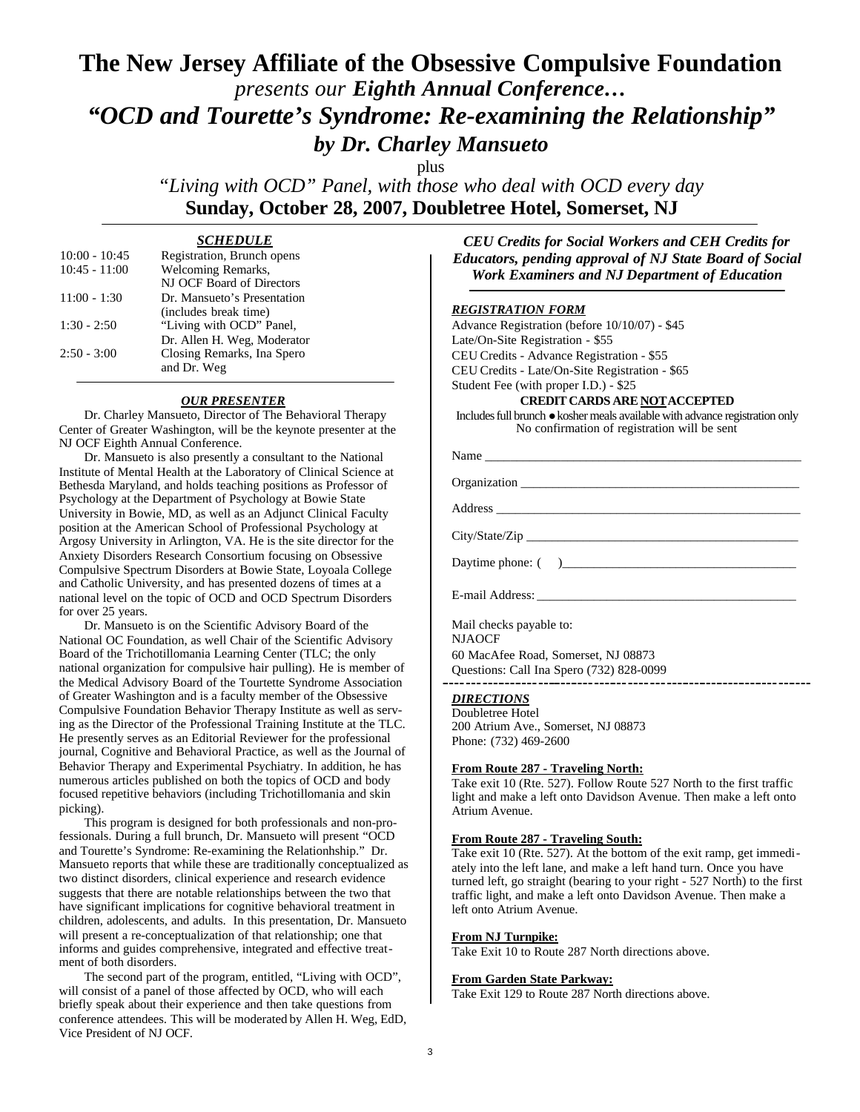# **The New Jersey Affiliate of the Obsessive Compulsive Foundation**  *presents our Eighth Annual Conference… "OCD and Tourette's Syndrome: Re-examining the Relationship" by Dr. Charley Mansueto*

plus

*"Living with OCD" Panel, with those who deal with OCD every day* **Sunday, October 28, 2007, Doubletree Hotel, Somerset, NJ**

## *SCHEDULE*

| $10:00 - 10:45$ | Registration, Brunch opens  |
|-----------------|-----------------------------|
| $10:45 - 11:00$ | Welcoming Remarks,          |
|                 | NJ OCF Board of Directors   |
| $11:00 - 1:30$  | Dr. Mansueto's Presentation |
|                 | (includes break time)       |
| $1:30 - 2:50$   | "Living with OCD" Panel,    |
|                 | Dr. Allen H. Weg, Moderator |
| $2:50 - 3:00$   | Closing Remarks, Ina Spero  |
|                 | and Dr. Weg                 |
|                 |                             |

## *OUR PRESENTER*

Dr. Charley Mansueto, Director of The Behavioral Therapy Center of Greater Washington, will be the keynote presenter at the NJ OCF Eighth Annual Conference.

Dr. Mansueto is also presently a consultant to the National Institute of Mental Health at the Laboratory of Clinical Science at Bethesda Maryland, and holds teaching positions as Professor of Psychology at the Department of Psychology at Bowie State University in Bowie, MD, as well as an Adjunct Clinical Faculty position at the American School of Professional Psychology at Argosy University in Arlington, VA. He is the site director for the Anxiety Disorders Research Consortium focusing on Obsessive Compulsive Spectrum Disorders at Bowie State, Loyoala College and Catholic University, and has presented dozens of times at a national level on the topic of OCD and OCD Spectrum Disorders for over 25 years.

Dr. Mansueto is on the Scientific Advisory Board of the National OC Foundation, as well Chair of the Scientific Advisory Board of the Trichotillomania Learning Center (TLC; the only national organization for compulsive hair pulling). He is member of the Medical Advisory Board of the Tourtette Syndrome Association of Greater Washington and is a faculty member of the Obsessive Compulsive Foundation Behavior Therapy Institute as well as serving as the Director of the Professional Training Institute at the TLC. He presently serves as an Editorial Reviewer for the professional journal, Cognitive and Behavioral Practice, as well as the Journal of Behavior Therapy and Experimental Psychiatry. In addition, he has numerous articles published on both the topics of OCD and body focused repetitive behaviors (including Trichotillomania and skin picking).

This program is designed for both professionals and non-professionals. During a full brunch, Dr. Mansueto will present "OCD and Tourette's Syndrome: Re-examining the Relationhship." Dr. Mansueto reports that while these are traditionally conceptualized as two distinct disorders, clinical experience and research evidence suggests that there are notable relationships between the two that have significant implications for cognitive behavioral treatment in children, adolescents, and adults. In this presentation, Dr. Mansueto will present a re-conceptualization of that relationship; one that informs and guides comprehensive, integrated and effective treatment of both disorders.

The second part of the program, entitled, "Living with OCD", will consist of a panel of those affected by OCD, who will each briefly speak about their experience and then take questions from conference attendees. This will be moderated by Allen H. Weg, EdD, Vice President of NJ OCF.

*CEU Credits for Social Workers and CEH Credits for Educators, pending approval of NJ State Board of Social Work Examiners and NJ Department of Education*

## *REGISTRATION FORM*

Advance Registration (before 10/10/07) - \$45 Late/On-Site Registration - \$55 CEU Credits - Advance Registration - \$55 CEU Credits - Late/On-Site Registration - \$65 Student Fee (with proper I.D.) - \$25

## **CREDIT CARDS ARE NOTACCEPTED**

Includes full brunch  $\bullet$  kosher meals available with advance registration only No confirmation of registration will be sent

| Name                                     |
|------------------------------------------|
|                                          |
| Address                                  |
| City/State/Zip                           |
|                                          |
|                                          |
| Mail checks payable to:<br><b>NJAOCF</b> |

60 MacAfee Road, Somerset, NJ 08873 Questions: Call Ina Spero (732) 828-0099

### *DIRECTIONS*

Doubletree Hotel 200 Atrium Ave., Somerset, NJ 08873 Phone: (732) 469-2600

#### **From Route 287 - Traveling North:**

Take exit 10 (Rte. 527). Follow Route 527 North to the first traffic light and make a left onto Davidson Avenue. Then make a left onto Atrium Avenue.

#### **From Route 287 - Traveling South:**

Take exit 10 (Rte. 527). At the bottom of the exit ramp, get immediately into the left lane, and make a left hand turn. Once you have turned left, go straight (bearing to your right - 527 North) to the first traffic light, and make a left onto Davidson Avenue. Then make a left onto Atrium Avenue.

#### **From NJ Turnpike:**

Take Exit 10 to Route 287 North directions above.

#### **From Garden State Parkway:**

Take Exit 129 to Route 287 North directions above.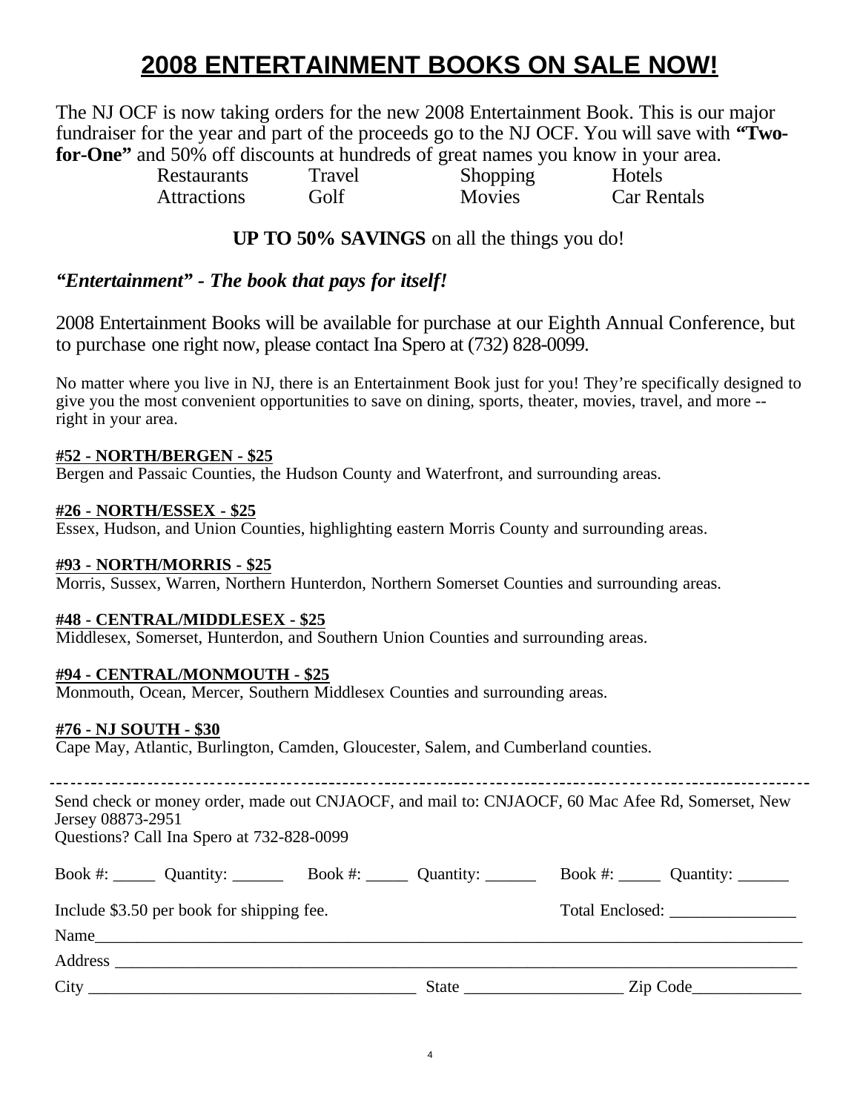# **2008 ENTERTAINMENT BOOKS ON SALE NOW!**

The NJ OCF is now taking orders for the new 2008 Entertainment Book. This is our major fundraiser for the year and part of the proceeds go to the NJ OCF. You will save with **"Twofor-One"** and 50% off discounts at hundreds of great names you know in your area.

> Restaurants Travel Shopping Hotels Attractions Golf Movies Car Rentals

## **UP TO 50% SAVINGS** on all the things you do!

# *"Entertainment" - The book that pays for itself!*

2008 Entertainment Books will be available for purchase at our Eighth Annual Conference, but to purchase one right now, please contact Ina Spero at (732) 828-0099.

No matter where you live in NJ, there is an Entertainment Book just for you! They're specifically designed to give you the most convenient opportunities to save on dining, sports, theater, movies, travel, and more - right in your area.

## **#52 - NORTH/BERGEN - \$25**

Bergen and Passaic Counties, the Hudson County and Waterfront, and surrounding areas.

## **#26 - NORTH/ESSEX - \$25**

Essex, Hudson, and Union Counties, highlighting eastern Morris County and surrounding areas.

## **#93 - NORTH/MORRIS - \$25**

Morris, Sussex, Warren, Northern Hunterdon, Northern Somerset Counties and surrounding areas.

## **#48 - CENTRAL/MIDDLESEX - \$25**

Middlesex, Somerset, Hunterdon, and Southern Union Counties and surrounding areas.

## **#94 - CENTRAL/MONMOUTH - \$25**

Monmouth, Ocean, Mercer, Southern Middlesex Counties and surrounding areas.

## **#76 - NJ SOUTH - \$30**

Cape May, Atlantic, Burlington, Camden, Gloucester, Salem, and Cumberland counties.

Send check or money order, made out CNJAOCF, and mail to: CNJAOCF, 60 Mac Afee Rd, Somerset, New Jersey 08873-2951

Questions? Call Ina Spero at 732-828-0099

| Book #: $\_\_\_\_$ Quantity: $\_\_\_\_\_\_\_\_$                                                                                               | Book #: $\qquad$ Quantity: | Book #: $\_\_\_\_\_$ Quantity: $\_\_\_\_\_\_\_\_\_\_$ |
|-----------------------------------------------------------------------------------------------------------------------------------------------|----------------------------|-------------------------------------------------------|
| Include \$3.50 per book for shipping fee.                                                                                                     |                            |                                                       |
| Name<br><u> 1980 - Jan James James James James James James James James James James James James James James James James J</u>                  |                            |                                                       |
| Address                                                                                                                                       |                            |                                                       |
| $City$ <sub>__</sub><br><u> 1989 - Johann John Stoff, deutscher Stoffen und der Stoffen und der Stoffen und der Stoffen und der Stoffen u</u> | State                      | Zip Code                                              |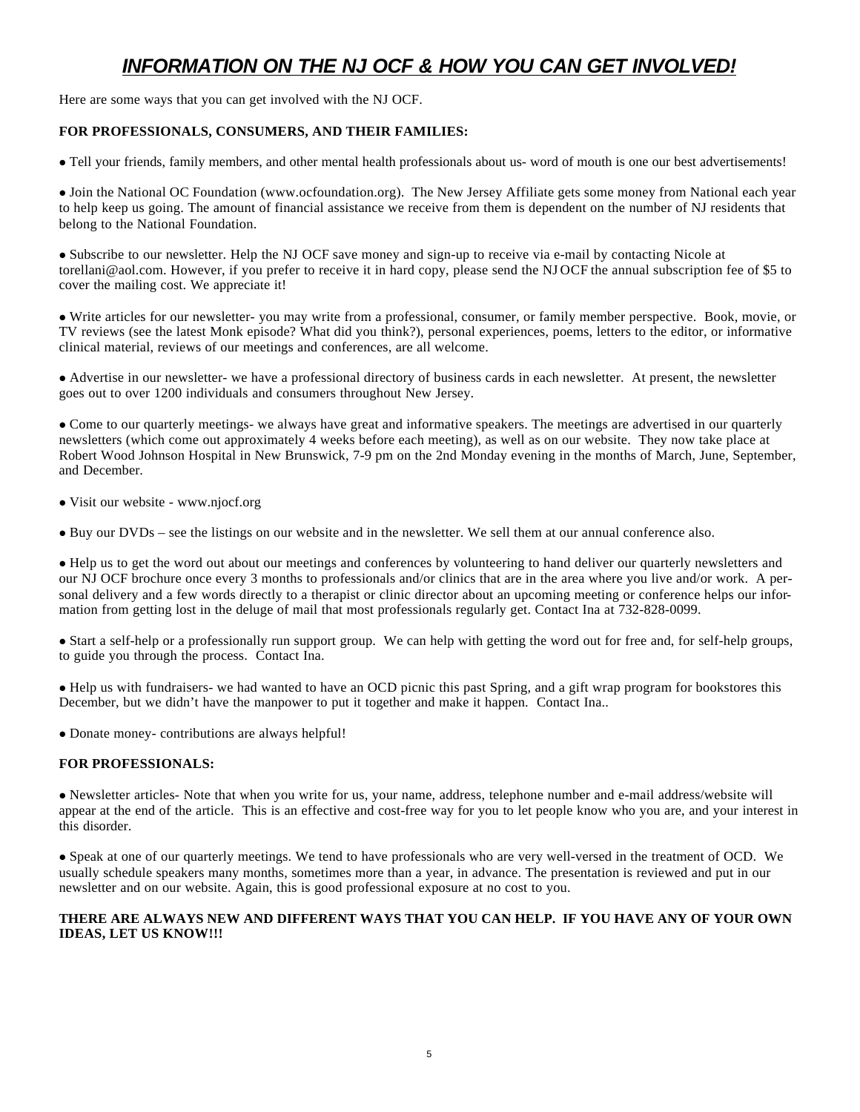# *INFORMATION ON THE NJ OCF & HOW YOU CAN GET INVOLVED!*

Here are some ways that you can get involved with the NJ OCF.

## **FOR PROFESSIONALS, CONSUMERS, AND THEIR FAMILIES:**

<sup>l</sup> Tell your friends, family members, and other mental health professionals about us- word of mouth is one our best advertisements!

• Join the National OC Foundation (www.ocfoundation.org). The New Jersey Affiliate gets some money from National each year to help keep us going. The amount of financial assistance we receive from them is dependent on the number of NJ residents that belong to the National Foundation.

• Subscribe to our newsletter. Help the NJ OCF save money and sign-up to receive via e-mail by contacting Nicole at torellani@aol.com. However, if you prefer to receive it in hard copy, please send the NJ OCF the annual subscription fee of \$5 to cover the mailing cost. We appreciate it!

<sup>l</sup> Write articles for our newsletter- you may write from a professional, consumer, or family member perspective. Book, movie, or TV reviews (see the latest Monk episode? What did you think?), personal experiences, poems, letters to the editor, or informative clinical material, reviews of our meetings and conferences, are all welcome.

• Advertise in our newsletter- we have a professional directory of business cards in each newsletter. At present, the newsletter goes out to over 1200 individuals and consumers throughout New Jersey.

• Come to our quarterly meetings- we always have great and informative speakers. The meetings are advertised in our quarterly newsletters (which come out approximately 4 weeks before each meeting), as well as on our website. They now take place at Robert Wood Johnson Hospital in New Brunswick, 7-9 pm on the 2nd Monday evening in the months of March, June, September, and December.

• Visit our website - www.njocf.org

• Buy our DVDs – see the listings on our website and in the newsletter. We sell them at our annual conference also.

<sup>l</sup> Help us to get the word out about our meetings and conferences by volunteering to hand deliver our quarterly newsletters and our NJ OCF brochure once every 3 months to professionals and/or clinics that are in the area where you live and/or work. A personal delivery and a few words directly to a therapist or clinic director about an upcoming meeting or conference helps our information from getting lost in the deluge of mail that most professionals regularly get. Contact Ina at 732-828-0099.

• Start a self-help or a professionally run support group. We can help with getting the word out for free and, for self-help groups, to guide you through the process. Contact Ina.

<sup>l</sup> Help us with fundraisers- we had wanted to have an OCD picnic this past Spring, and a gift wrap program for bookstores this December, but we didn't have the manpower to put it together and make it happen. Contact Ina..

• Donate money- contributions are always helpful!

## **FOR PROFESSIONALS:**

<sup>l</sup> Newsletter articles- Note that when you write for us, your name, address, telephone number and e-mail address/website will appear at the end of the article. This is an effective and cost-free way for you to let people know who you are, and your interest in this disorder.

• Speak at one of our quarterly meetings. We tend to have professionals who are very well-versed in the treatment of OCD. We usually schedule speakers many months, sometimes more than a year, in advance. The presentation is reviewed and put in our newsletter and on our website. Again, this is good professional exposure at no cost to you.

## **THERE ARE ALWAYS NEW AND DIFFERENT WAYS THAT YOU CAN HELP. IF YOU HAVE ANY OF YOUR OWN IDEAS, LET US KNOW!!!**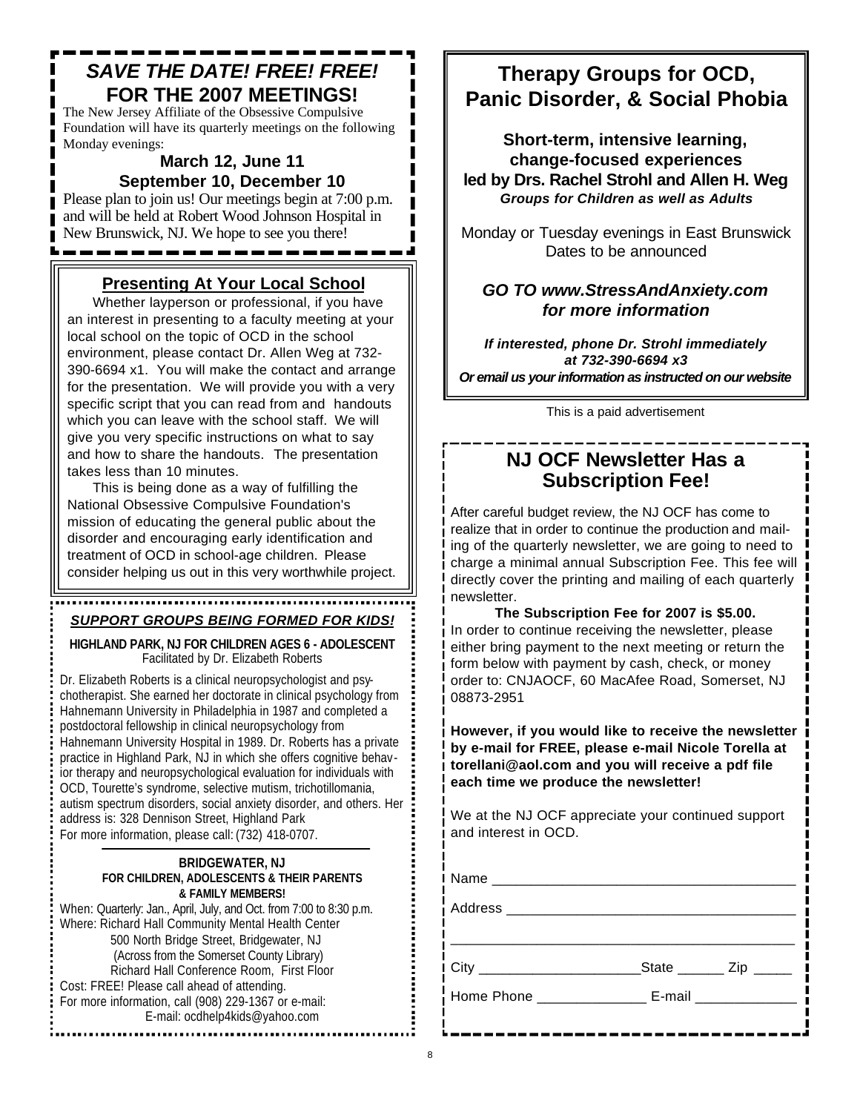# *SAVE THE DATE! FREE! FREE!* **FOR THE 2007 MEETINGS!**

The New Jersey Affiliate of the Obsessive Compulsive Foundation will have its quarterly meetings on the following Monday evenings:

## **March 12, June 11 September 10, December 10**

Please plan to join us! Our meetings begin at 7:00 p.m. and will be held at Robert Wood Johnson Hospital in New Brunswick, NJ. We hope to see you there!

## **Presenting At Your Local School**

Whether layperson or professional, if you have an interest in presenting to a faculty meeting at your local school on the topic of OCD in the school environment, please contact Dr. Allen Weg at 732- 390-6694 x1. You will make the contact and arrange for the presentation. We will provide you with a very specific script that you can read from and handouts which you can leave with the school staff. We will give you very specific instructions on what to say and how to share the handouts. The presentation takes less than 10 minutes.

This is being done as a way of fulfilling the National Obsessive Compulsive Foundation's mission of educating the general public about the disorder and encouraging early identification and treatment of OCD in school-age children. Please consider helping us out in this very worthwhile project.

# *SUPPORT GROUPS BEING FORMED FOR KIDS!*

**HIGHLAND PARK, NJ FOR CHILDREN AGES 6 - ADOLESCENT** Facilitated by Dr. Elizabeth Roberts

Dr. Elizabeth Roberts is a clinical neuropsychologist and psychotherapist. She earned her doctorate in clinical psychology from Hahnemann University in Philadelphia in 1987 and completed a postdoctoral fellowship in clinical neuropsychology from Hahnemann University Hospital in 1989. Dr. Roberts has a private practice in Highland Park, NJ in which she offers cognitive behavior therapy and neuropsychological evaluation for individuals with OCD, Tourette's syndrome, selective mutism, trichotillomania, autism spectrum disorders, social anxiety disorder, and others. Her address is: 328 Dennison Street, Highland Park For more information, please call: (732) 418-0707.

## **BRIDGEWATER, NJ FOR CHILDREN, ADOLESCENTS & THEIR PARENTS & FAMILY MEMBERS!**

When: Quarterly: Jan., April, July, and Oct. from 7:00 to 8:30 p.m. Where: Richard Hall Community Mental Health Center 500 North Bridge Street, Bridgewater, NJ (Across from the Somerset County Library) Richard Hall Conference Room, First Floor Cost: FREE! Please call ahead of attending. For more information, call (908) 229-1367 or e-mail: E-mail: ocdhelp4kids@yahoo.com

# **Therapy Groups for OCD, Panic Disorder, & Social Phobia**

**Short-term, intensive learning, change-focused experiences led by Drs. Rachel Strohl and Allen H. Weg** *Groups for Children as well as Adults*

Monday or Tuesday evenings in East Brunswick Dates to be announced

## *GO TO www.StressAndAnxiety.com for more information*

*If interested, phone Dr. Strohl immediately at 732-390-6694 x3 Or email us your information as instructed on our website*

This is a paid advertisement

# **NJ OCF Newsletter Has a Subscription Fee!**

After careful budget review, the NJ OCF has come to realize that in order to continue the production and mailing of the quarterly newsletter, we are going to need to charge a minimal annual Subscription Fee. This fee will directly cover the printing and mailing of each quarterly newsletter.

**The Subscription Fee for 2007 is \$5.00.**  In order to continue receiving the newsletter, please either bring payment to the next meeting or return the form below with payment by cash, check, or money order to: CNJAOCF, 60 MacAfee Road, Somerset, NJ 08873-2951

**However, if you would like to receive the newsletter by e-mail for FREE, please e-mail Nicole Torella at torellani@aol.com and you will receive a pdf file each time we produce the newsletter!**

We at the NJ OCF appreciate your continued support and interest in OCD.

| 「City ________________________                   | State _______ Zip _____ |  |
|--------------------------------------------------|-------------------------|--|
| Home Phone ________________ E-mail _____________ |                         |  |
|                                                  |                         |  |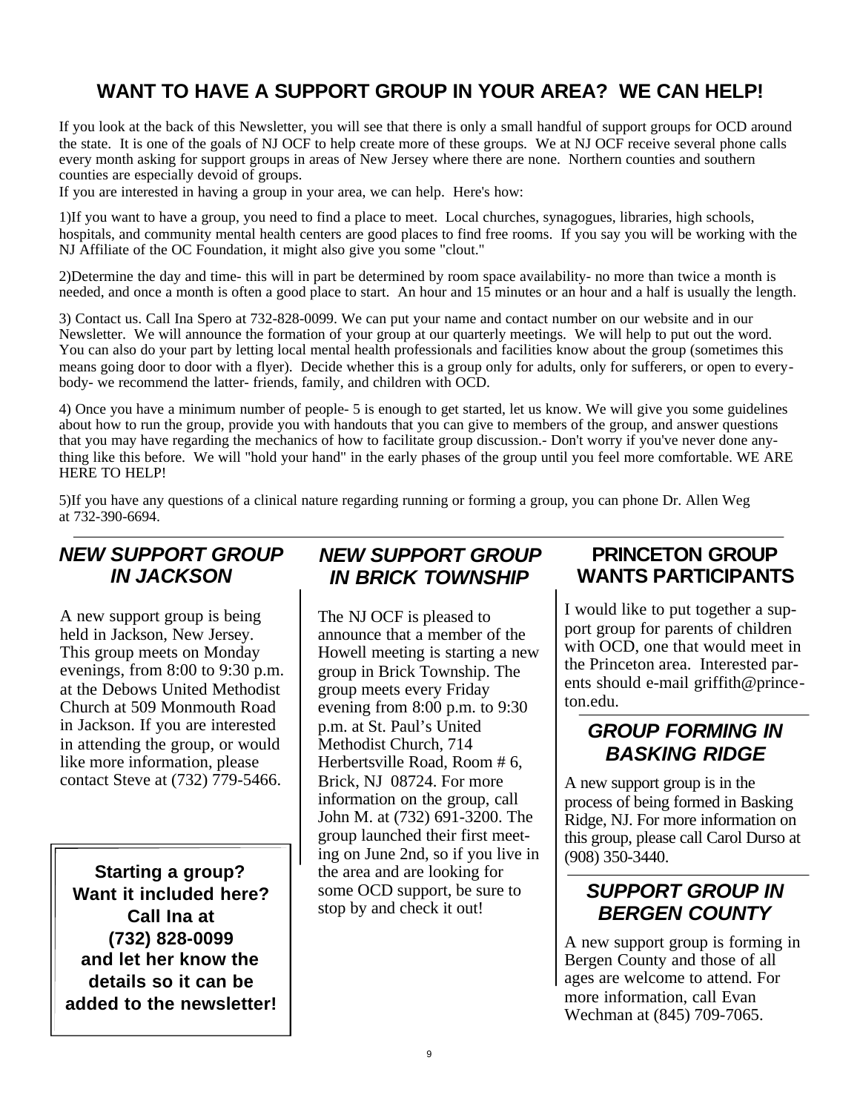# **WANT TO HAVE A SUPPORT GROUP IN YOUR AREA? WE CAN HELP!**

If you look at the back of this Newsletter, you will see that there is only a small handful of support groups for OCD around the state. It is one of the goals of NJ OCF to help create more of these groups. We at NJ OCF receive several phone calls every month asking for support groups in areas of New Jersey where there are none. Northern counties and southern counties are especially devoid of groups.

If you are interested in having a group in your area, we can help. Here's how:

1)If you want to have a group, you need to find a place to meet. Local churches, synagogues, libraries, high schools, hospitals, and community mental health centers are good places to find free rooms. If you say you will be working with the NJ Affiliate of the OC Foundation, it might also give you some "clout."

2)Determine the day and time- this will in part be determined by room space availability- no more than twice a month is needed, and once a month is often a good place to start. An hour and 15 minutes or an hour and a half is usually the length.

3) Contact us. Call Ina Spero at 732-828-0099. We can put your name and contact number on our website and in our Newsletter. We will announce the formation of your group at our quarterly meetings. We will help to put out the word. You can also do your part by letting local mental health professionals and facilities know about the group (sometimes this means going door to door with a flyer). Decide whether this is a group only for adults, only for sufferers, or open to everybody- we recommend the latter- friends, family, and children with OCD.

4) Once you have a minimum number of people- 5 is enough to get started, let us know. We will give you some guidelines about how to run the group, provide you with handouts that you can give to members of the group, and answer questions that you may have regarding the mechanics of how to facilitate group discussion.- Don't worry if you've never done anything like this before. We will "hold your hand" in the early phases of the group until you feel more comfortable. WE ARE HERE TO HELP!

5)If you have any questions of a clinical nature regarding running or forming a group, you can phone Dr. Allen Weg at 732-390-6694.

# *NEW SUPPORT GROUP IN JACKSON*

A new support group is being held in Jackson, New Jersey. This group meets on Monday evenings, from 8:00 to 9:30 p.m. at the Debows United Methodist Church at 509 Monmouth Road in Jackson. If you are interested in attending the group, or would like more information, please contact Steve at (732) 779-5466.

**Starting a group? Want it included here? Call Ina at (732) 828-0099 and let her know the details so it can be added to the newsletter!**

# *NEW SUPPORT GROUP IN BRICK TOWNSHIP*

The NJ OCF is pleased to announce that a member of the Howell meeting is starting a new group in Brick Township. The group meets every Friday evening from 8:00 p.m. to 9:30 p.m. at St. Paul's United Methodist Church, 714 Herbertsville Road, Room # 6, Brick, NJ 08724. For more information on the group, call John M. at (732) 691-3200. The group launched their first meeting on June 2nd, so if you live in the area and are looking for some OCD support, be sure to stop by and check it out!

# **PRINCETON GROUP WANTS PARTICIPANTS**

I would like to put together a support group for parents of children with OCD, one that would meet in the Princeton area. Interested parents should e-mail griffith@princeton.edu.

# *GROUP FORMING IN BASKING RIDGE*

A new support group is in the process of being formed in Basking Ridge, NJ. For more information on this group, please call Carol Durso at (908) 350-3440.

# *SUPPORT GROUP IN BERGEN COUNTY*

A new support group is forming in Bergen County and those of all ages are welcome to attend. For more information, call Evan Wechman at (845) 709-7065.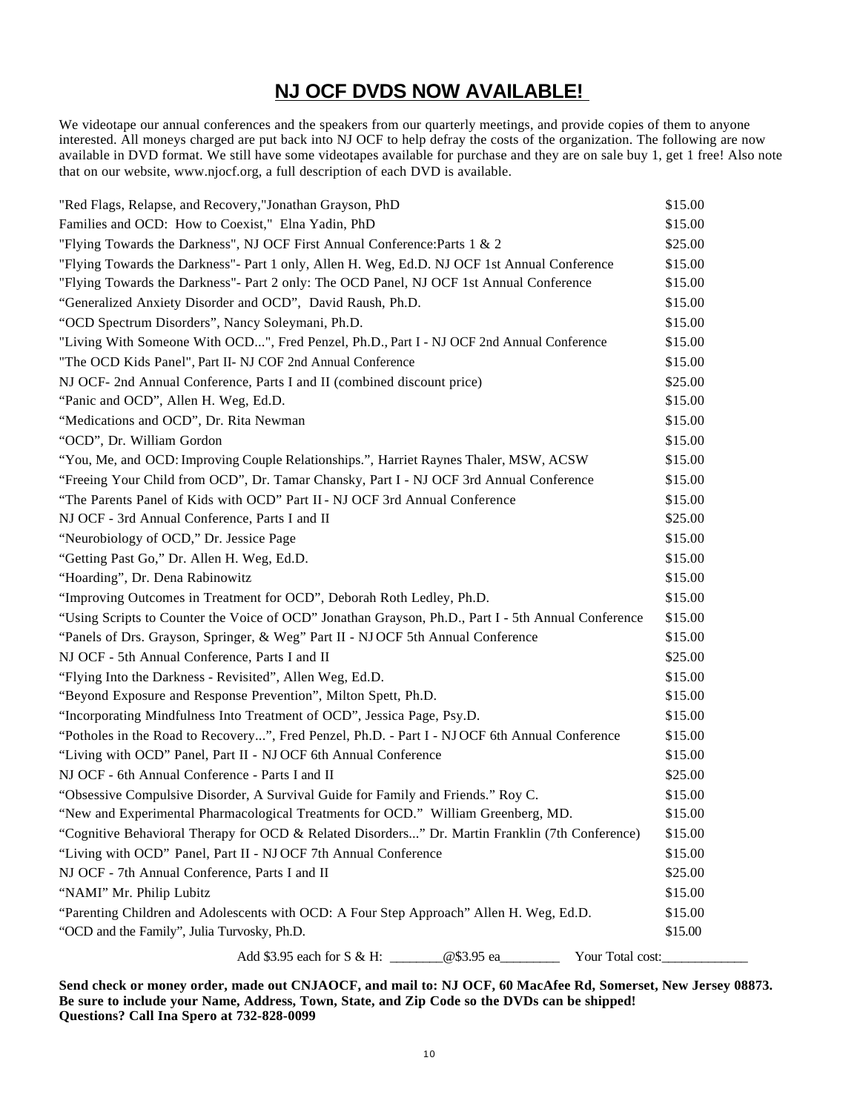# **NJ OCF DVDS NOW AVAILABLE!**

We videotape our annual conferences and the speakers from our quarterly meetings, and provide copies of them to anyone interested. All moneys charged are put back into NJ OCF to help defray the costs of the organization. The following are now available in DVD format. We still have some videotapes available for purchase and they are on sale buy 1, get 1 free! Also note that on our website, www.njocf.org, a full description of each DVD is available.

| "Red Flags, Relapse, and Recovery,"Jonathan Grayson, PhD                                            | \$15.00 |  |
|-----------------------------------------------------------------------------------------------------|---------|--|
| Families and OCD: How to Coexist," Elna Yadin, PhD                                                  |         |  |
| "Flying Towards the Darkness", NJ OCF First Annual Conference: Parts 1 & 2                          | \$25.00 |  |
| "Flying Towards the Darkness"- Part 1 only, Allen H. Weg, Ed.D. NJ OCF 1st Annual Conference        | \$15.00 |  |
| "Flying Towards the Darkness"- Part 2 only: The OCD Panel, NJ OCF 1st Annual Conference             | \$15.00 |  |
| "Generalized Anxiety Disorder and OCD", David Raush, Ph.D.                                          | \$15.00 |  |
| "OCD Spectrum Disorders", Nancy Soleymani, Ph.D.                                                    | \$15.00 |  |
| "Living With Someone With OCD", Fred Penzel, Ph.D., Part I - NJ OCF 2nd Annual Conference           | \$15.00 |  |
| "The OCD Kids Panel", Part II- NJ COF 2nd Annual Conference                                         | \$15.00 |  |
| NJ OCF- 2nd Annual Conference, Parts I and II (combined discount price)                             | \$25.00 |  |
| "Panic and OCD", Allen H. Weg, Ed.D.                                                                | \$15.00 |  |
| "Medications and OCD", Dr. Rita Newman                                                              | \$15.00 |  |
| "OCD", Dr. William Gordon                                                                           | \$15.00 |  |
| "You, Me, and OCD: Improving Couple Relationships.", Harriet Raynes Thaler, MSW, ACSW               | \$15.00 |  |
| "Freeing Your Child from OCD", Dr. Tamar Chansky, Part I - NJ OCF 3rd Annual Conference             | \$15.00 |  |
| "The Parents Panel of Kids with OCD" Part II - NJ OCF 3rd Annual Conference                         | \$15.00 |  |
| NJ OCF - 3rd Annual Conference, Parts I and II                                                      | \$25.00 |  |
| "Neurobiology of OCD," Dr. Jessice Page                                                             | \$15.00 |  |
| "Getting Past Go," Dr. Allen H. Weg, Ed.D.                                                          | \$15.00 |  |
| "Hoarding", Dr. Dena Rabinowitz                                                                     | \$15.00 |  |
| "Improving Outcomes in Treatment for OCD", Deborah Roth Ledley, Ph.D.                               | \$15.00 |  |
| "Using Scripts to Counter the Voice of OCD" Jonathan Grayson, Ph.D., Part I - 5th Annual Conference | \$15.00 |  |
| "Panels of Drs. Grayson, Springer, & Weg" Part II - NJ OCF 5th Annual Conference                    | \$15.00 |  |
| NJ OCF - 5th Annual Conference, Parts I and II                                                      | \$25.00 |  |
| "Flying Into the Darkness - Revisited", Allen Weg, Ed.D.                                            | \$15.00 |  |
| "Beyond Exposure and Response Prevention", Milton Spett, Ph.D.                                      | \$15.00 |  |
| "Incorporating Mindfulness Into Treatment of OCD", Jessica Page, Psy.D.                             | \$15.00 |  |
| "Potholes in the Road to Recovery", Fred Penzel, Ph.D. - Part I - NJ OCF 6th Annual Conference      | \$15.00 |  |
| "Living with OCD" Panel, Part II - NJ OCF 6th Annual Conference                                     | \$15.00 |  |
| NJ OCF - 6th Annual Conference - Parts I and II                                                     | \$25.00 |  |
| "Obsessive Compulsive Disorder, A Survival Guide for Family and Friends." Roy C.                    | \$15.00 |  |
| "New and Experimental Pharmacological Treatments for OCD." William Greenberg, MD.                   | \$15.00 |  |
| "Cognitive Behavioral Therapy for OCD & Related Disorders" Dr. Martin Franklin (7th Conference)     | \$15.00 |  |
| "Living with OCD" Panel, Part II - NJ OCF 7th Annual Conference                                     | \$15.00 |  |
| NJ OCF - 7th Annual Conference, Parts I and II                                                      | \$25.00 |  |
| "NAMI" Mr. Philip Lubitz                                                                            | \$15.00 |  |
| "Parenting Children and Adolescents with OCD: A Four Step Approach" Allen H. Weg, Ed.D.             | \$15.00 |  |
| "OCD and the Family", Julia Turvosky, Ph.D.                                                         | \$15.00 |  |
| Add \$3.95 each for S & H:<br>@\$3.95 ea_<br>Your Total cost:                                       |         |  |

**Send check or money order, made out CNJAOCF, and mail to: NJ OCF, 60 MacAfee Rd, Somerset, New Jersey 08873. Be sure to include your Name, Address, Town, State, and Zip Code so the DVDs can be shipped! Questions? Call Ina Spero at 732-828-0099**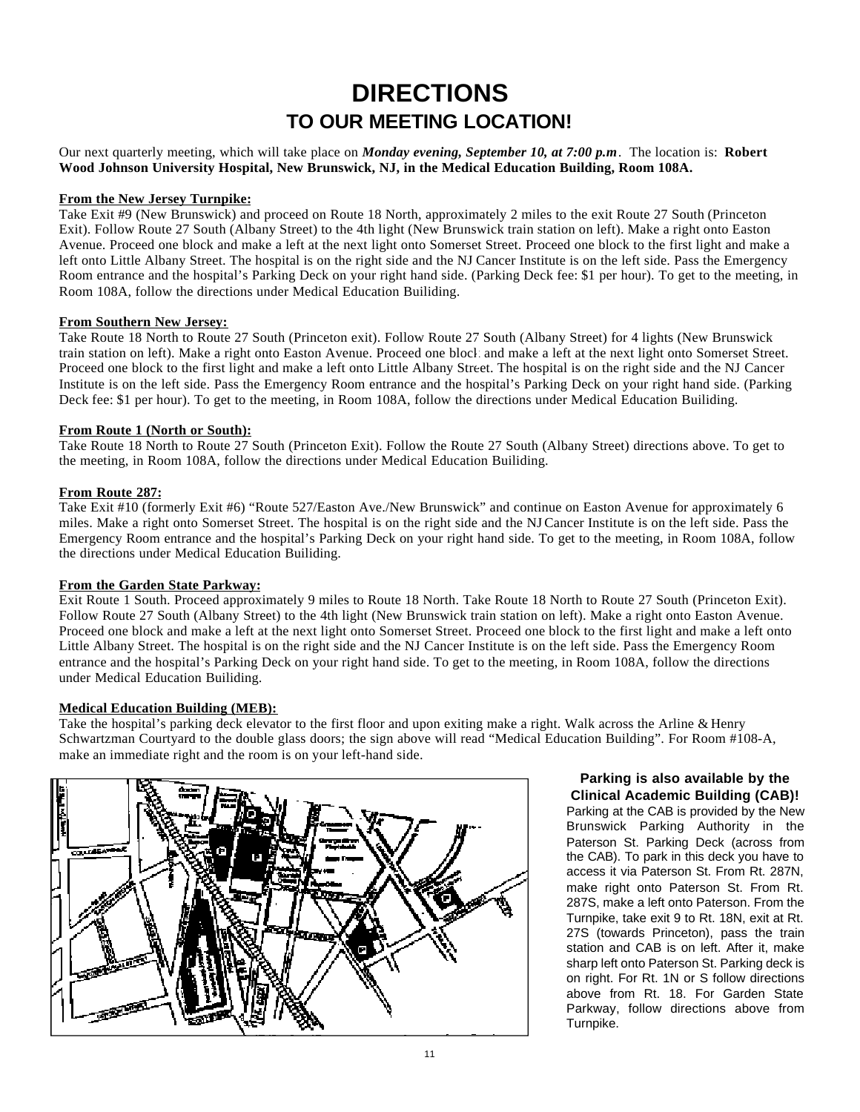# **DIRECTIONS TO OUR MEETING LOCATION!**

Our next quarterly meeting, which will take place on *Monday evening, September 10, at 7:00 p.m*. The location is: **Robert Wood Johnson University Hospital, New Brunswick, NJ, in the Medical Education Building, Room 108A.**

## **From the New Jersey Turnpike:**

Take Exit #9 (New Brunswick) and proceed on Route 18 North, approximately 2 miles to the exit Route 27 South (Princeton Exit). Follow Route 27 South (Albany Street) to the 4th light (New Brunswick train station on left). Make a right onto Easton Avenue. Proceed one block and make a left at the next light onto Somerset Street. Proceed one block to the first light and make a left onto Little Albany Street. The hospital is on the right side and the NJ Cancer Institute is on the left side. Pass the Emergency Room entrance and the hospital's Parking Deck on your right hand side. (Parking Deck fee: \$1 per hour). To get to the meeting, in Room 108A, follow the directions under Medical Education Builiding.

## **From Southern New Jersey:**

Take Route 18 North to Route 27 South (Princeton exit). Follow Route 27 South (Albany Street) for 4 lights (New Brunswick train station on left). Make a right onto Easton Avenue. Proceed one block and make a left at the next light onto Somerset Street. Proceed one block to the first light and make a left onto Little Albany Street. The hospital is on the right side and the NJ Cancer Institute is on the left side. Pass the Emergency Room entrance and the hospital's Parking Deck on your right hand side. (Parking Deck fee: \$1 per hour). To get to the meeting, in Room 108A, follow the directions under Medical Education Builiding.

## **From Route 1 (North or South):**

Take Route 18 North to Route 27 South (Princeton Exit). Follow the Route 27 South (Albany Street) directions above. To get to the meeting, in Room 108A, follow the directions under Medical Education Builiding.

## **From Route 287:**

Take Exit #10 (formerly Exit #6) "Route 527/Easton Ave./New Brunswick" and continue on Easton Avenue for approximately 6 miles. Make a right onto Somerset Street. The hospital is on the right side and the NJCancer Institute is on the left side. Pass the Emergency Room entrance and the hospital's Parking Deck on your right hand side. To get to the meeting, in Room 108A, follow the directions under Medical Education Builiding.

#### **From the Garden State Parkway:**

Exit Route 1 South. Proceed approximately 9 miles to Route 18 North. Take Route 18 North to Route 27 South (Princeton Exit). Follow Route 27 South (Albany Street) to the 4th light (New Brunswick train station on left). Make a right onto Easton Avenue. Proceed one block and make a left at the next light onto Somerset Street. Proceed one block to the first light and make a left onto Little Albany Street. The hospital is on the right side and the NJ Cancer Institute is on the left side. Pass the Emergency Room entrance and the hospital's Parking Deck on your right hand side. To get to the meeting, in Room 108A, follow the directions under Medical Education Builiding.

#### **Medical Education Building (MEB):**

Take the hospital's parking deck elevator to the first floor and upon exiting make a right. Walk across the Arline & Henry Schwartzman Courtyard to the double glass doors; the sign above will read "Medical Education Building". For Room #108-A, make an immediate right and the room is on your left-hand side.



## **Parking is also available by the Clinical Academic Building (CAB)!**

Parking at the CAB is provided by the New Brunswick Parking Authority in the Paterson St. Parking Deck (across from the CAB). To park in this deck you have to access it via Paterson St. From Rt. 287N, make right onto Paterson St. From Rt. 287S, make a left onto Paterson. From the Turnpike, take exit 9 to Rt. 18N, exit at Rt. 27S (towards Princeton), pass the train station and CAB is on left. After it, make sharp left onto Paterson St. Parking deck is on right. For Rt. 1N or S follow directions above from Rt. 18. For Garden State Parkway, follow directions above from Turnpike.